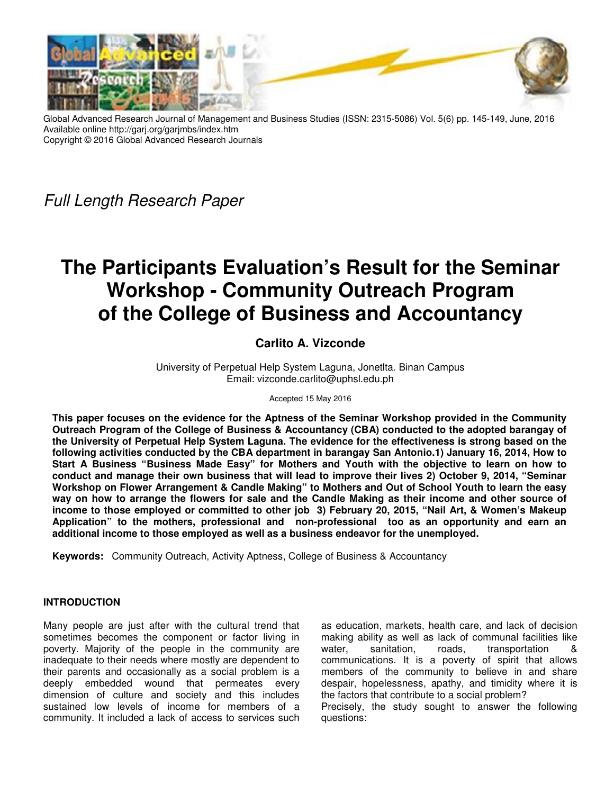

Global Advanced Research Journal of Management and Business Studies (ISSN: 2315-5086) Vol. 5(6) pp. 145-149, June, 2016 Available online http://garj.org/garjmbs/index.htm Copyright © 2016 Global Advanced Research Journals

Full Length Research Paper

# **The Participants Evaluation's Result for the Seminar Workshop - Community Outreach Program of the College of Business and Accountancy**

# **Carlito A. Vizconde**

University of Perpetual Help System Laguna, Jonetlta. Binan Campus Email: vizconde.carlito@uphsl.edu.ph

Accepted 15 May 2016

**This paper focuses on the evidence for the Aptness of the Seminar Workshop provided in the Community Outreach Program of the College of Business & Accountancy (CBA) conducted to the adopted barangay of the University of Perpetual Help System Laguna. The evidence for the effectiveness is strong based on the following activities conducted by the CBA department in barangay San Antonio.1) January 16, 2014, How to Start A Business "Business Made Easy" for Mothers and Youth with the objective to learn on how to conduct and manage their own business that will lead to improve their lives 2) October 9, 2014, "Seminar Workshop on Flower Arrangement & Candle Making" to Mothers and Out of School Youth to learn the easy way on how to arrange the flowers for sale and the Candle Making as their income and other source of income to those employed or committed to other job 3) February 20, 2015, "Nail Art, & Women's Makeup Application" to the mothers, professional and non-professional too as an opportunity and earn an additional income to those employed as well as a business endeavor for the unemployed.** 

**Keywords:** Community Outreach, Activity Aptness, College of Business & Accountancy

### **INTRODUCTION**

Many people are just after with the cultural trend that sometimes becomes the component or factor living in poverty. Majority of the people in the community are inadequate to their needs where mostly are dependent to their parents and occasionally as a social problem is a deeply embedded wound that permeates every dimension of culture and society and this includes sustained low levels of income for members of a community. It included a lack of access to services such

as education, markets, health care, and lack of decision making ability as well as lack of communal facilities like water, sanitation, roads, transportation communications. It is a poverty of spirit that allows members of the community to believe in and share despair, hopelessness, apathy, and timidity where it is the factors that contribute to a social problem? Precisely, the study sought to answer the following questions: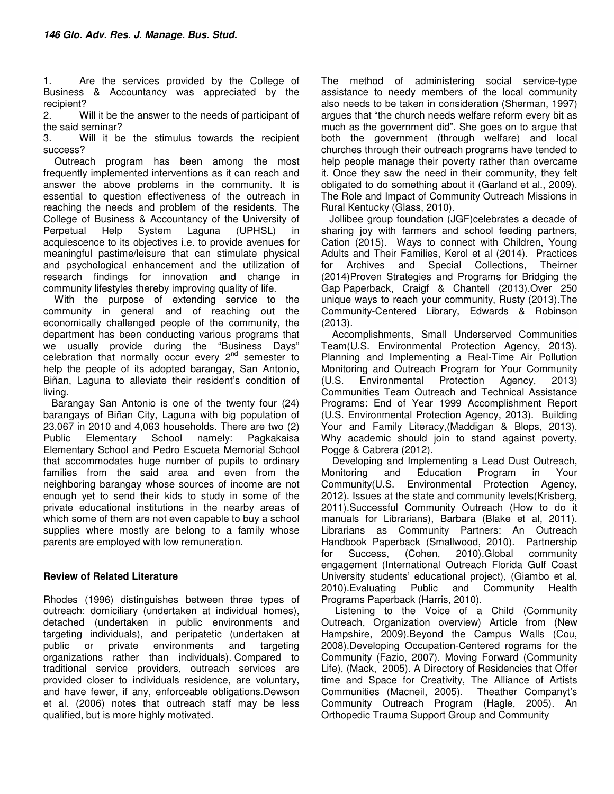1. Are the services provided by the College of Business & Accountancy was appreciated by the recipient?

2. Will it be the answer to the needs of participant of the said seminar?

3. Will it be the stimulus towards the recipient success?

 Outreach program has been among the most frequently implemented interventions as it can reach and answer the above problems in the community. It is essential to question effectiveness of the outreach in reaching the needs and problem of the residents. The College of Business & Accountancy of the University of<br>Perpetual Help System Laguna (UPHSL) in Perpetual Help System Laguna (UPHSL) in acquiescence to its objectives i.e. to provide avenues for meaningful pastime/leisure that can stimulate physical and psychological enhancement and the utilization of research findings for innovation and change in community lifestyles thereby improving quality of life.

 With the purpose of extending service to the community in general and of reaching out the economically challenged people of the community, the department has been conducting various programs that we usually provide during the "Business Days" celebration that normally occur every  $2^{nd}$  semester to help the people of its adopted barangay, San Antonio, Biñan, Laguna to alleviate their resident's condition of living.

 Barangay San Antonio is one of the twenty four (24) barangays of Biñan City, Laguna with big population of 23,067 in 2010 and 4,063 households. There are two (2) Public Elementary School namely: Pagkakaisa Elementary School and Pedro Escueta Memorial School that accommodates huge number of pupils to ordinary families from the said area and even from the neighboring barangay whose sources of income are not enough yet to send their kids to study in some of the private educational institutions in the nearby areas of which some of them are not even capable to buy a school supplies where mostly are belong to a family whose parents are employed with low remuneration.

## **Review of Related Literature**

Rhodes (1996) distinguishes between three types of outreach: domiciliary (undertaken at individual homes), detached (undertaken in public environments and targeting individuals), and peripatetic (undertaken at public or private environments and targeting organizations rather than individuals). Compared to traditional service providers, outreach services are provided closer to individuals residence, are voluntary, and have fewer, if any, enforceable obligations.Dewson et al. (2006) notes that outreach staff may be less qualified, but is more highly motivated.

The method of administering social service-type assistance to needy members of the local community also needs to be taken in consideration (Sherman, 1997) argues that "the church needs welfare reform every bit as much as the government did". She goes on to argue that both the government (through welfare) and local churches through their outreach programs have tended to help people manage their poverty rather than overcame it. Once they saw the need in their community, they felt obligated to do something about it (Garland et al., 2009). The Role and Impact of Community Outreach Missions in Rural Kentucky (Glass, 2010).

 Jollibee group foundation (JGF)celebrates a decade of sharing joy with farmers and school feeding partners, Cation (2015). Ways to connect with Children, Young Adults and Their Families, Kerol et al (2014). Practices<br>for Archives and Special Collections. Theirner for Archives and Special Collections, Theirner (2014)Proven Strategies and Programs for Bridging the Gap Paperback, Craigf & Chantell (2013).Over 250 unique ways to reach your community, Rusty (2013).The Community-Centered Library, Edwards & Robinson (2013).

 Accomplishments, Small Underserved Communities Team(U.S. Environmental Protection Agency, 2013). Planning and Implementing a Real-Time Air Pollution Monitoring and Outreach Program for Your Community (U.S. Environmental Protection Agency, 2013) Communities Team Outreach and Technical Assistance Programs: End of Year 1999 Accomplishment Report (U.S. Environmental Protection Agency, 2013). Building Your and Family Literacy,(Maddigan & Blops, 2013). Why academic should join to stand against poverty, Pogge & Cabrera (2012).

 Developing and Implementing a Lead Dust Outreach, Monitoring and Education Program in Your Community(U.S. Environmental Protection Agency, 2012). Issues at the state and community levels(Krisberg, 2011).Successful Community Outreach (How to do it manuals for Librarians), Barbara (Blake et al, 2011). Librarians as Community Partners: An Outreach Handbook Paperback (Smallwood, 2010). Partnership for Success, (Cohen, 2010).Global community engagement (International Outreach Florida Gulf Coast University students' educational project), (Giambo et al, 2010).Evaluating Public and Community Health Programs Paperback (Harris, 2010).

 Listening to the Voice of a Child (Community Outreach, Organization overview) Article from (New Hampshire, 2009).Beyond the Campus Walls (Cou, 2008).Developing Occupation-Centered rograms for the Community (Fazio, 2007). Moving Forward (Community Life), (Mack, 2005). A Directory of Residencies that Offer time and Space for Creativity, The Alliance of Artists Communities (Macneil, 2005). Theather Companyt's Community Outreach Program (Hagle, 2005). An Orthopedic Trauma Support Group and Community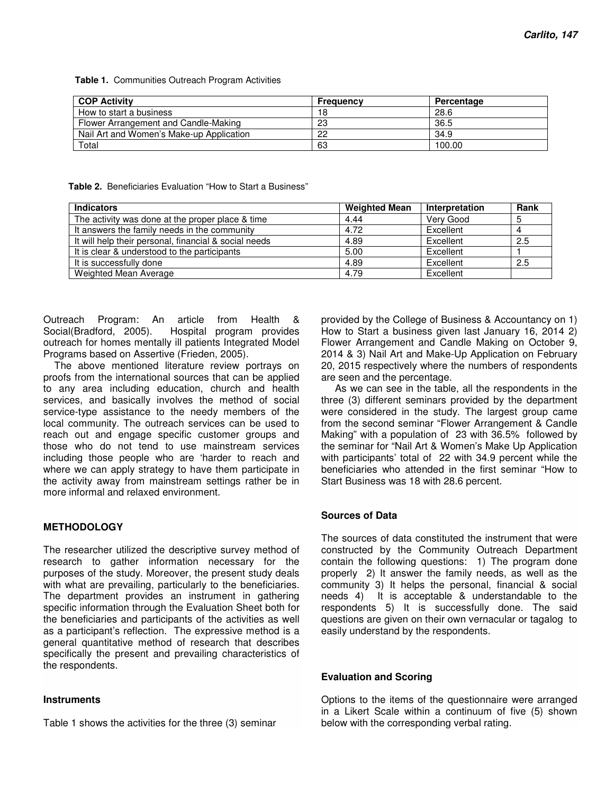**Table 1.** Communities Outreach Program Activities

| <b>COP Activity</b>                      | Frequency | Percentage |
|------------------------------------------|-----------|------------|
| How to start a business                  | 18        | 28.6       |
| Flower Arrangement and Candle-Making     | 23        | 36.5       |
| Nail Art and Women's Make-up Application | 22        | 34.9       |
| Total                                    | 63        | 100.00     |

 **Table 2.** Beneficiaries Evaluation "How to Start a Business"

| <b>Indicators</b>                                     | <b>Weighted Mean</b> | Interpretation | Rank |
|-------------------------------------------------------|----------------------|----------------|------|
| The activity was done at the proper place & time      | 4.44                 | Very Good      | 5    |
| It answers the family needs in the community          | 4.72                 | Excellent      | 4    |
| It will help their personal, financial & social needs | 4.89                 | Excellent      | 2.5  |
| It is clear & understood to the participants          | 5.00                 | Excellent      |      |
| It is successfully done                               | 4.89                 | Excellent      | 2.5  |
| Weighted Mean Average                                 | 4.79                 | Excellent      |      |

Outreach Program: An article from Health & Social(Bradford, 2005). Hospital program provides outreach for homes mentally ill patients Integrated Model Programs based on Assertive (Frieden, 2005).

 The above mentioned literature review portrays on proofs from the international sources that can be applied to any area including education, church and health services, and basically involves the method of social service-type assistance to the needy members of the local community. The outreach services can be used to reach out and engage specific customer groups and those who do not tend to use mainstream services including those people who are 'harder to reach and where we can apply strategy to have them participate in the activity away from mainstream settings rather be in more informal and relaxed environment.

### **METHODOLOGY**

The researcher utilized the descriptive survey method of research to gather information necessary for the purposes of the study. Moreover, the present study deals with what are prevailing, particularly to the beneficiaries. The department provides an instrument in gathering specific information through the Evaluation Sheet both for the beneficiaries and participants of the activities as well as a participant's reflection. The expressive method is a general quantitative method of research that describes specifically the present and prevailing characteristics of the respondents.

#### **Instruments**

Table 1 shows the activities for the three (3) seminar

provided by the College of Business & Accountancy on 1) How to Start a business given last January 16, 2014 2) Flower Arrangement and Candle Making on October 9, 2014 & 3) Nail Art and Make-Up Application on February 20, 2015 respectively where the numbers of respondents are seen and the percentage.

 As we can see in the table, all the respondents in the three (3) different seminars provided by the department were considered in the study. The largest group came from the second seminar "Flower Arrangement & Candle Making" with a population of 23 with 36.5% followed by the seminar for "Nail Art & Women's Make Up Application with participants' total of 22 with 34.9 percent while the beneficiaries who attended in the first seminar "How to Start Business was 18 with 28.6 percent.

### **Sources of Data**

The sources of data constituted the instrument that were constructed by the Community Outreach Department contain the following questions: 1) The program done properly 2) It answer the family needs, as well as the community 3) It helps the personal, financial & social needs 4) It is acceptable & understandable to the respondents 5) It is successfully done. The said questions are given on their own vernacular or tagalog to easily understand by the respondents.

#### **Evaluation and Scoring**

Options to the items of the questionnaire were arranged in a Likert Scale within a continuum of five (5) shown below with the corresponding verbal rating.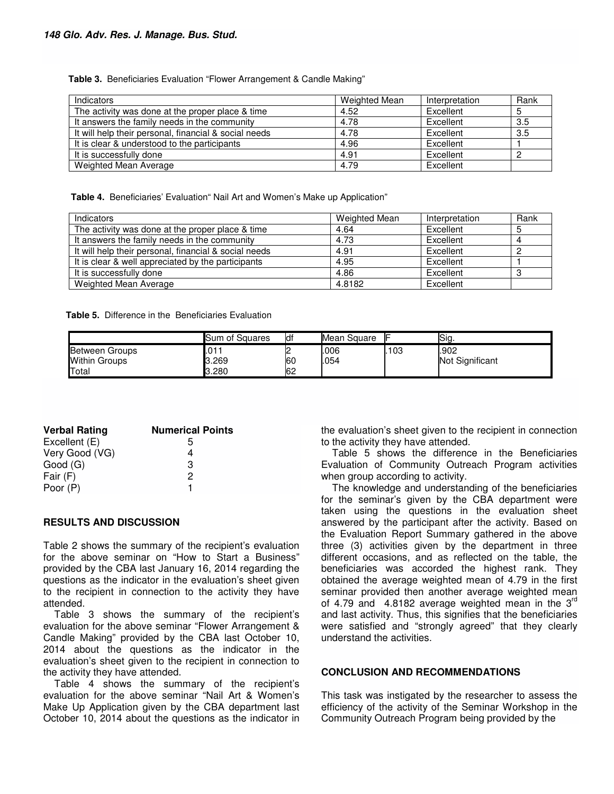**Table 3.** Beneficiaries Evaluation "Flower Arrangement & Candle Making"

| Indicators                                            | Weighted Mean | Interpretation | Rank |
|-------------------------------------------------------|---------------|----------------|------|
| The activity was done at the proper place & time      | 4.52          | Excellent      |      |
| It answers the family needs in the community          | 4.78          | Excellent      | 3.5  |
| It will help their personal, financial & social needs | 4.78          | Excellent      | 3.5  |
| It is clear & understood to the participants          | 4.96          | Excellent      |      |
| It is successfully done                               | 4.91          | Excellent      |      |
| Weighted Mean Average                                 | 4.79          | Excellent      |      |

 **Table 4.** Beneficiaries' Evaluation" Nail Art and Women's Make up Application"

| Indicators                                            | Weighted Mean | Interpretation | Rank |
|-------------------------------------------------------|---------------|----------------|------|
| The activity was done at the proper place & time      | 4.64          | Excellent      |      |
| It answers the family needs in the community          | 4.73          | Excellent      |      |
| It will help their personal, financial & social needs | 4.91          | Excellent      |      |
| It is clear & well appreciated by the participants    | 4.95          | Excellent      |      |
| It is successfully done                               | 4.86          | Excellent      |      |
| Weighted Mean Average                                 | 4.8182        | Excellent      |      |

**Table 5.** Difference in the Beneficiaries Evaluation

|                       | Sum of Squares | ldf | Mean Square |     | Sig.            |
|-----------------------|----------------|-----|-------------|-----|-----------------|
| <b>Between Groups</b> | 101٠.          |     | .006        | 103 | .902            |
| <b>Within Groups</b>  | კ.269          | 60  | 054         |     | Not Significant |
| Total                 | 3.280          | 62  |             |     |                 |

| <b>Verbal Rating</b> | <b>Numerical Points</b> |
|----------------------|-------------------------|
| Excellent (E)        | ٠h                      |
| Very Good (VG)       |                         |
| Good (G)             | 3                       |
| Fair $(F)$           | 2                       |
| Poor (P)             |                         |

#### **RESULTS AND DISCUSSION**

Table 2 shows the summary of the recipient's evaluation for the above seminar on "How to Start a Business" provided by the CBA last January 16, 2014 regarding the questions as the indicator in the evaluation's sheet given to the recipient in connection to the activity they have attended.

 Table 3 shows the summary of the recipient's evaluation for the above seminar "Flower Arrangement & Candle Making" provided by the CBA last October 10, 2014 about the questions as the indicator in the evaluation's sheet given to the recipient in connection to the activity they have attended.

 Table 4 shows the summary of the recipient's evaluation for the above seminar "Nail Art & Women's Make Up Application given by the CBA department last October 10, 2014 about the questions as the indicator in the evaluation's sheet given to the recipient in connection to the activity they have attended.

 Table 5 shows the difference in the Beneficiaries Evaluation of Community Outreach Program activities when group according to activity.

 The knowledge and understanding of the beneficiaries for the seminar's given by the CBA department were taken using the questions in the evaluation sheet answered by the participant after the activity. Based on the Evaluation Report Summary gathered in the above three (3) activities given by the department in three different occasions, and as reflected on the table, the beneficiaries was accorded the highest rank. They obtained the average weighted mean of 4.79 in the first seminar provided then another average weighted mean of 4.79 and 4.8182 average weighted mean in the  $3^{rd}$ and last activity. Thus, this signifies that the beneficiaries were satisfied and "strongly agreed" that they clearly understand the activities.

#### **CONCLUSION AND RECOMMENDATIONS**

This task was instigated by the researcher to assess the efficiency of the activity of the Seminar Workshop in the Community Outreach Program being provided by the